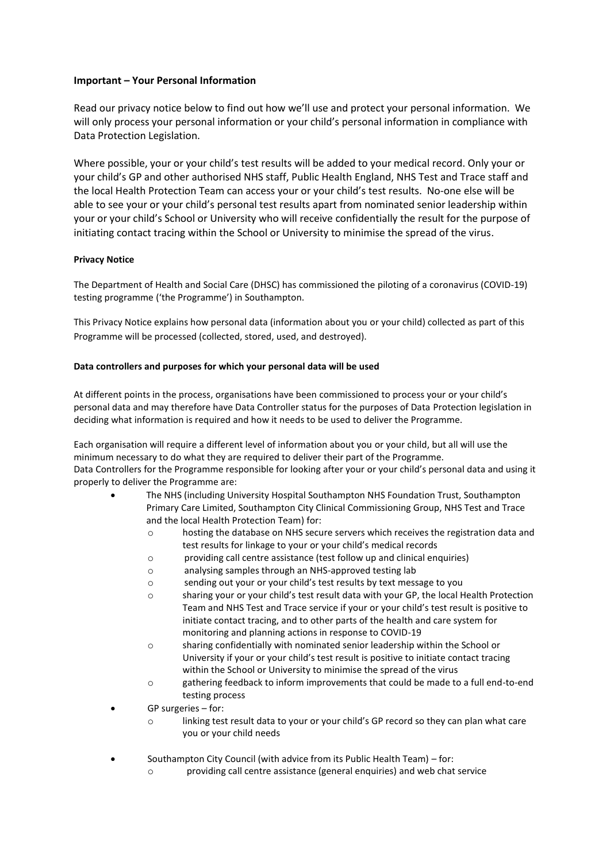# **Important – Your Personal Information**

Read our privacy notice below to find out how we'll use and protect your personal information.  We will only process your personal information or your child's personal information in compliance with Data Protection Legislation. 

Where possible, your or your child's test results will be added to your medical record. Only your or your child's GP and other authorised NHS staff, Public Health England, NHS Test and Trace staff and the local Health Protection Team can access your or your child's test results.  No-one else will be able to see your or your child's personal test results apart from nominated senior leadership within your or your child's School or University who will receive confidentially the result for the purpose of initiating contact tracing within the School or University to minimise the spread of the virus. 

## **Privacy Notice**

The Department of Health and Social Care (DHSC) has commissioned the piloting of a coronavirus (COVID-19) testing programme ('the Programme') in Southampton.  

This Privacy Notice explains how personal data (information about you or your child) collected as part of this Programme will be processed (collected, stored, used, and destroyed). 

## **Data controllers and purposes for which your personal data will be used**

At different points in the process, organisations have been commissioned to process your or your child's personal data and may therefore have Data Controller status for the purposes of Data Protection legislation in deciding what information is required and how it needs to be used to deliver the Programme.  

Each organisation will require a different level of information about you or your child, but all will use the minimum necessary to do what they are required to deliver their part of the Programme.   Data Controllers for the Programme responsible for looking after your or your child's personal data and using it properly to deliver the Programme are: 

- The NHS (including University Hospital Southampton NHS Foundation Trust, Southampton Primary Care Limited, Southampton City Clinical Commissioning Group, NHS Test and Trace and the local Health Protection Team) for:
	- o hosting the database on NHS secure servers which receives the registration data and test results for linkage to your or your child's medical records
	- o providing call centre assistance (test follow up and clinical enquiries)
	- o analysing samples through an NHS-approved testing lab
	- o sending out your or your child's test results by text message to you
	- o sharing your or your child's test result data with your GP, the local Health Protection Team and NHS Test and Trace service if your or your child's test result is positive to initiate contact tracing, and to other parts of the health and care system for monitoring and planning actions in response to COVID-19
	- o sharing confidentially with nominated senior leadership within the School or University if your or your child's test result is positive to initiate contact tracing within the School or University to minimise the spread of the virus
	- o gathering feedback to inform improvements that could be made to a full end-to-end testing process
- GP surgeries for:
	- o linking test result data to your or your child's GP record so they can plan what care you or your child needs
- Southampton City Council (with advice from its Public Health Team) for:
	- o providing call centre assistance (general enquiries) and web chat service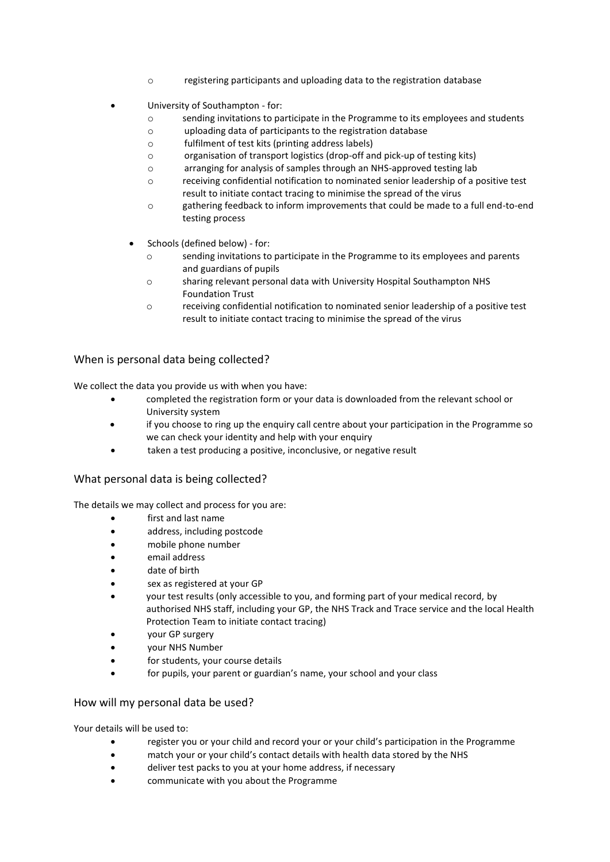- o registering participants and uploading data to the registration database
- University of Southampton for:
	- o sending invitations to participate in the Programme to its employees and students
	- o uploading data of participants to the registration database
	- o fulfilment of test kits (printing address labels)
	- o organisation of transport logistics (drop-off and pick-up of testing kits)
	- o arranging for analysis of samples through an NHS-approved testing lab
	- o receiving confidential notification to nominated senior leadership of a positive test result to initiate contact tracing to minimise the spread of the virus
	- o gathering feedback to inform improvements that could be made to a full end-to-end testing process
	- Schools (defined below) for:
		- o sending invitations to participate in the Programme to its employees and parents and guardians of pupils
		- o sharing relevant personal data with University Hospital Southampton NHS Foundation Trust
		- o receiving confidential notification to nominated senior leadership of a positive test result to initiate contact tracing to minimise the spread of the virus

## When is personal data being collected?

We collect the data you provide us with when you have: 

- completed the registration form or your data is downloaded from the relevant school or University system
- if you choose to ring up the enquiry call centre about your participation in the Programme so we can check your identity and help with your enquiry
- taken a test producing a positive, inconclusive, or negative result

# What personal data is being collected?

The details we may collect and process for you are: 

- first and last name
- address, including postcode
- mobile phone number
- email address
- date of birth
- sex as registered at your GP
- your test results (only accessible to you, and forming part of your medical record, by authorised NHS staff, including your GP, the NHS Track and Trace service and the local Health Protection Team to initiate contact tracing)
- your GP surgery
- your NHS Number
- for students, your course details
- for pupils, your parent or guardian's name, your school and your class

# How will my personal data be used?

Your details will be used to:  

- register you or your child and record your or your child's participation in the Programme
- match your or your child's contact details with health data stored by the NHS
- deliver test packs to you at your home address, if necessary
- communicate with you about the Programme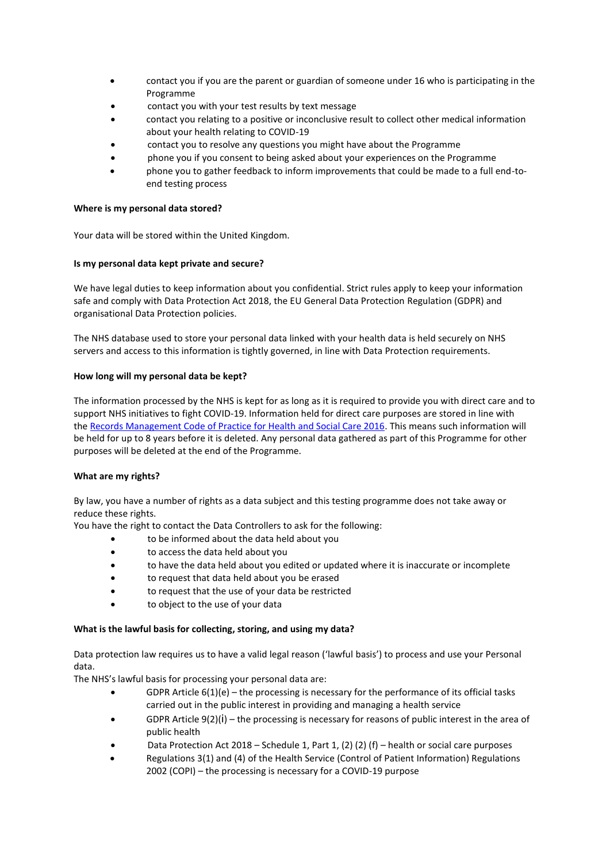- contact you if you are the parent or guardian of someone under 16 who is participating in the Programme
- contact you with your test results by text message
- contact you relating to a positive or inconclusive result to collect other medical information about your health relating to COVID-19
- contact you to resolve any questions you might have about the Programme
- phone you if you consent to being asked about your experiences on the Programme
- phone you to gather feedback to inform improvements that could be made to a full end-toend testing process

#### **Where is my personal data stored?**

Your data will be stored within the United Kingdom.

#### **Is my personal data kept private and secure?**

We have legal duties to keep information about you confidential. Strict rules apply to keep your information safe and comply with Data Protection Act 2018, the EU General Data Protection Regulation (GDPR) and organisational Data Protection policies.  

The NHS database used to store your personal data linked with your health data is held securely on NHS servers and access to this information is tightly governed, in line with Data Protection requirements. 

#### **How long will my personal data be kept?**

The information processed by the NHS is kept for as long as it is required to provide you with direct care and to support NHS initiatives to fight COVID-19. Information held for direct care purposes are stored in line with the [Records Management Code of Practice for Health and Social Care 2016.](https://digital.nhs.uk/data-and-information/looking-after-information/data-security-and-information-governance/codes-of-practice-for-handling-information-in-health-and-care/records-management-code-of-practice-for-health-and-social-care-2016) This means such information will be held for up to 8 years before it is deleted. Any personal data gathered as part of this Programme for other purposes will be deleted at the end of the Programme. 

### **What are my rights?**

By law, you have a number of rights as a data subject and this testing programme does not take away or reduce these rights. 

You have the right to contact the Data Controllers to ask for the following:  

- to be informed about the data held about you
- to access the data held about you
- to have the data held about you edited or updated where it is inaccurate or incomplete
- to request that data held about you be erased
- to request that the use of your data be restricted
- to object to the use of your data

### **What is the lawful basis for collecting, storing, and using my data?**

Data protection law requires us to have a valid legal reason ('lawful basis') to process and use your Personal data.  

The NHS's lawful basis for processing your personal data are: 

- $\bullet$  GDPR Article 6(1)(e) the processing is necessary for the performance of its official tasks carried out in the public interest in providing and managing a health service
- GDPR Article  $9(2)(i)$  the processing is necessary for reasons of public interest in the area of public health
- Data Protection Act 2018 Schedule 1, Part 1, (2) (2) (f) health or social care purposes
- Regulations 3(1) and (4) of the Health Service (Control of Patient Information) Regulations 2002 (COPI) – the processing is necessary for a COVID-19 purpose